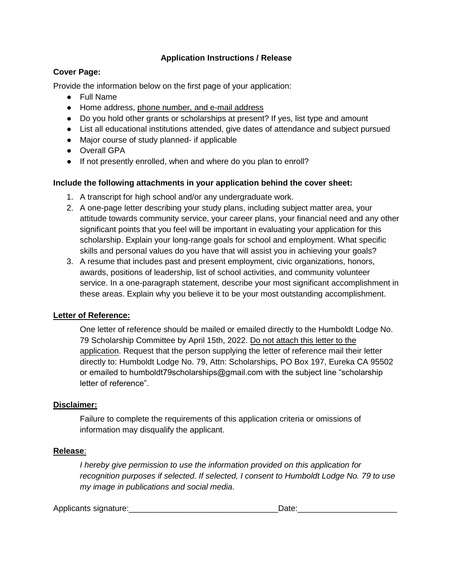## **Application Instructions / Release**

### **Cover Page:**

Provide the information below on the first page of your application:

- Full Name
- Home address, phone number, and e-mail address
- Do you hold other grants or scholarships at present? If yes, list type and amount
- List all educational institutions attended, give dates of attendance and subject pursued
- Major course of study planned- if applicable
- Overall GPA
- If not presently enrolled, when and where do you plan to enroll?

### **Include the following attachments in your application behind the cover sheet:**

- 1. A transcript for high school and/or any undergraduate work.
- 2. A one-page letter describing your study plans, including subject matter area, your attitude towards community service, your career plans, your financial need and any other significant points that you feel will be important in evaluating your application for this scholarship. Explain your long-range goals for school and employment. What specific skills and personal values do you have that will assist you in achieving your goals?
- 3. A resume that includes past and present employment, civic organizations, honors, awards, positions of leadership, list of school activities, and community volunteer service. In a one-paragraph statement, describe your most significant accomplishment in these areas. Explain why you believe it to be your most outstanding accomplishment.

### **Letter of Reference:**

One letter of reference should be mailed or emailed directly to the Humboldt Lodge No. 79 Scholarship Committee by April 15th, 2022. Do not attach this letter to the application. Request that the person supplying the letter of reference mail their letter directly to: Humboldt Lodge No. 79, Attn: Scholarships, PO Box 197, Eureka CA 95502 or emailed to humboldt79scholarships@gmail.com with the subject line "scholarship letter of reference".

### **Disclaimer:**

Failure to complete the requirements of this application criteria or omissions of information may disqualify the applicant.

### **Release**:

*I hereby give permission to use the information provided on this application for recognition purposes if selected. If selected, I consent to Humboldt Lodge No. 79 to use my image in publications and social media.* 

| Applicants signature: | ata ( |
|-----------------------|-------|
|                       |       |